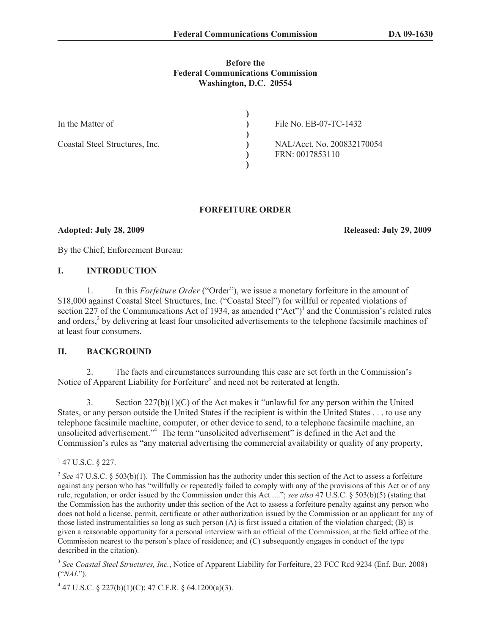#### **Before the Federal Communications Commission Washington, D.C. 20554**

| In the Matter of               | File No. EB-07-TC-1432                        |
|--------------------------------|-----------------------------------------------|
| Coastal Steel Structures, Inc. | NAL/Acct. No. 200832170054<br>FRN: 0017853110 |
|                                |                                               |

## **FORFEITURE ORDER**

**Adopted: July 28, 2009 Released: July 29, 2009** 

By the Chief, Enforcement Bureau:

### **I. INTRODUCTION**

1. In this *Forfeiture Order* ("Order"), we issue a monetary forfeiture in the amount of \$18,000 against Coastal Steel Structures, Inc. ("Coastal Steel") for willful or repeated violations of section 227 of the Communications Act of 1934, as amended  $("Act")^1$  and the Commission's related rules and orders,<sup>2</sup> by delivering at least four unsolicited advertisements to the telephone facsimile machines of at least four consumers.

### **II. BACKGROUND**

2. The facts and circumstances surrounding this case are set forth in the Commission's Notice of Apparent Liability for Forfeiture<sup>3</sup> and need not be reiterated at length.

3. Section  $227(b)(1)(C)$  of the Act makes it "unlawful for any person within the United States, or any person outside the United States if the recipient is within the United States . . . to use any telephone facsimile machine, computer, or other device to send, to a telephone facsimile machine, an unsolicited advertisement." <sup>4</sup> The term "unsolicited advertisement" is defined in the Act and the Commission's rules as "any material advertising the commercial availability or quality of any property,

 $1$  47 U.S.C. § 227.

<sup>&</sup>lt;sup>2</sup> See 47 U.S.C. § 503(b)(1). The Commission has the authority under this section of the Act to assess a forfeiture against any person who has "willfully or repeatedly failed to comply with any of the provisions of this Act or of any rule, regulation, or order issued by the Commission under this Act ...."; *see also* 47 U.S.C. § 503(b)(5) (stating that the Commission has the authority under this section of the Act to assess a forfeiture penalty against any person who does not hold a license, permit, certificate or other authorization issued by the Commission or an applicant for any of those listed instrumentalities so long as such person (A) is first issued a citation of the violation charged; (B) is given a reasonable opportunity for a personal interview with an official of the Commission, at the field office of the Commission nearest to the person's place of residence; and (C) subsequently engages in conduct of the type described in the citation).

<sup>3</sup> *See Coastal Steel Structures, Inc.*, Notice of Apparent Liability for Forfeiture, 23 FCC Rcd 9234 (Enf. Bur. 2008) ("*NAL*").

 $4$  47 U.S.C. § 227(b)(1)(C); 47 C.F.R. § 64.1200(a)(3).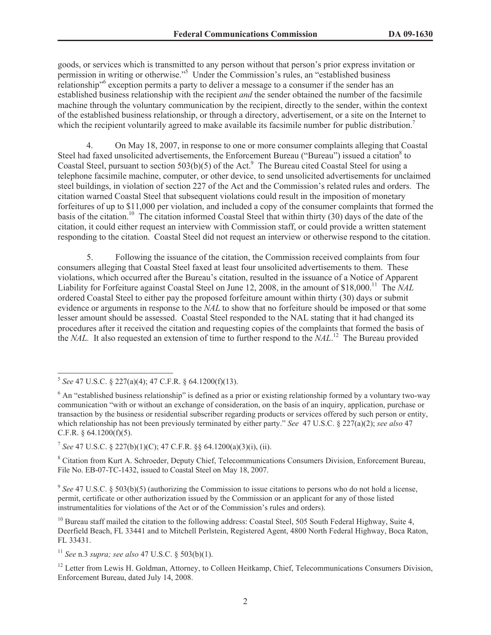goods, or services which is transmitted to any person without that person's prior express invitation or permission in writing or otherwise."<sup>5</sup> Under the Commission's rules, an "established business relationship<sup>16</sup> exception permits a party to deliver a message to a consumer if the sender has an established business relationship with the recipient *and* the sender obtained the number of the facsimile machine through the voluntary communication by the recipient, directly to the sender, within the context of the established business relationship, or through a directory, advertisement, or a site on the Internet to which the recipient voluntarily agreed to make available its facsimile number for public distribution.<sup>7</sup>

4. On May 18, 2007, in response to one or more consumer complaints alleging that Coastal Steel had faxed unsolicited advertisements, the Enforcement Bureau ("Bureau") issued a citation<sup>8</sup> to Coastal Steel, pursuant to section  $503(b)(5)$  of the Act.<sup>9</sup> The Bureau cited Coastal Steel for using a telephone facsimile machine, computer, or other device, to send unsolicited advertisements for unclaimed steel buildings, in violation of section 227 of the Act and the Commission's related rules and orders. The citation warned Coastal Steel that subsequent violations could result in the imposition of monetary forfeitures of up to \$11,000 per violation, and included a copy of the consumer complaints that formed the basis of the citation.<sup>10</sup> The citation informed Coastal Steel that within thirty (30) days of the date of the citation, it could either request an interview with Commission staff, or could provide a written statement responding to the citation. Coastal Steel did not request an interview or otherwise respond to the citation.

5. Following the issuance of the citation, the Commission received complaints from four consumers alleging that Coastal Steel faxed at least four unsolicited advertisements to them. These violations, which occurred after the Bureau's citation, resulted in the issuance of a Notice of Apparent Liability for Forfeiture against Coastal Steel on June 12, 2008, in the amount of \$18,000. <sup>11</sup> The *NAL* ordered Coastal Steel to either pay the proposed forfeiture amount within thirty (30) days or submit evidence or arguments in response to the *NAL* to show that no forfeiture should be imposed or that some lesser amount should be assessed. Coastal Steel responded to the NAL stating that it had changed its procedures after it received the citation and requesting copies of the complaints that formed the basis of the *NAL.* It also requested an extension of time to further respond to the *NAL*. <sup>12</sup> The Bureau provided

7 *See* 47 U.S.C. § 227(b)(1)(C); 47 C.F.R. §§ 64.1200(a)(3)(i), (ii).

<sup>8</sup> Citation from Kurt A. Schroeder, Deputy Chief, Telecommunications Consumers Division, Enforcement Bureau, File No. EB-07-TC-1432, issued to Coastal Steel on May 18, 2007.

<sup>9</sup> See 47 U.S.C. § 503(b)(5) (authorizing the Commission to issue citations to persons who do not hold a license, permit, certificate or other authorization issued by the Commission or an applicant for any of those listed instrumentalities for violations of the Act or of the Commission's rules and orders).

<sup>10</sup> Bureau staff mailed the citation to the following address: Coastal Steel, 505 South Federal Highway, Suite 4, Deerfield Beach, FL 33441 and to Mitchell Perlstein, Registered Agent, 4800 North Federal Highway, Boca Raton, FL 33431.

<sup>11</sup> *See* n.3 *supra; see also* 47 U.S.C. § 503(b)(1).

<sup>12</sup> Letter from Lewis H. Goldman, Attorney, to Colleen Heitkamp, Chief, Telecommunications Consumers Division, Enforcement Bureau, dated July 14, 2008.

<sup>5</sup> *See* 47 U.S.C. § 227(a)(4); 47 C.F.R. § 64.1200(f)(13).

 $6$  An "established business relationship" is defined as a prior or existing relationship formed by a voluntary two-way communication "with or without an exchange of consideration, on the basis of an inquiry, application, purchase or transaction by the business or residential subscriber regarding products or services offered by such person or entity, which relationship has not been previously terminated by either party." *See* 47 U.S.C. § 227(a)(2); *see also* 47 C.F.R.  $§$  64.1200(f)(5).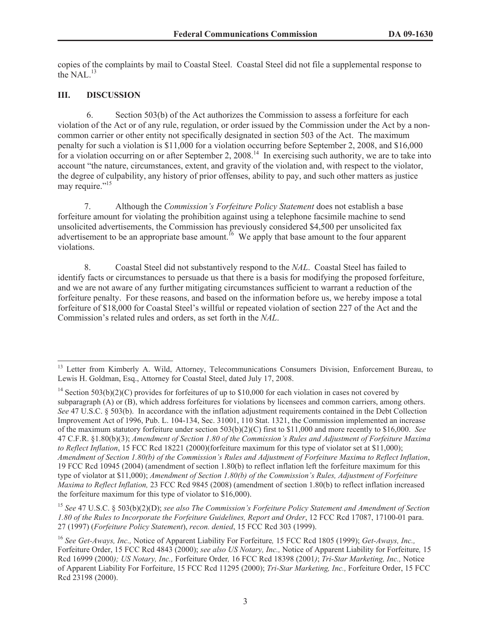copies of the complaints by mail to Coastal Steel. Coastal Steel did not file a supplemental response to the NAL $^{13}$ 

# **III. DISCUSSION**

6. Section 503(b) of the Act authorizes the Commission to assess a forfeiture for each violation of the Act or of any rule, regulation, or order issued by the Commission under the Act by a noncommon carrier or other entity not specifically designated in section 503 of the Act. The maximum penalty for such a violation is \$11,000 for a violation occurring before September 2, 2008, and \$16,000 for a violation occurring on or after September 2, 2008.<sup>14</sup> In exercising such authority, we are to take into account "the nature, circumstances, extent, and gravity of the violation and, with respect to the violator, the degree of culpability, any history of prior offenses, ability to pay, and such other matters as justice may require."<sup>15</sup>

7. Although the *Commission's Forfeiture Policy Statement* does not establish a base forfeiture amount for violating the prohibition against using a telephone facsimile machine to send unsolicited advertisements, the Commission has previously considered \$4,500 per unsolicited fax advertisement to be an appropriate base amount.<sup>16</sup> We apply that base amount to the four apparent violations.

8. Coastal Steel did not substantively respond to the *NAL*. Coastal Steel has failed to identify facts or circumstances to persuade us that there is a basis for modifying the proposed forfeiture, and we are not aware of any further mitigating circumstances sufficient to warrant a reduction of the forfeiture penalty. For these reasons, and based on the information before us, we hereby impose a total forfeiture of \$18,000 for Coastal Steel's willful or repeated violation of section 227 of the Act and the Commission's related rules and orders, as set forth in the *NAL*.

Letter from Kimberly A. Wild, Attorney, Telecommunications Consumers Division, Enforcement Bureau, to Lewis H. Goldman, Esq., Attorney for Coastal Steel, dated July 17, 2008.

<sup>&</sup>lt;sup>14</sup> Section 503(b)(2)(C) provides for forfeitures of up to \$10,000 for each violation in cases not covered by subparagraph (A) or (B), which address forfeitures for violations by licensees and common carriers, among others. *See* 47 U.S.C. § 503(b). In accordance with the inflation adjustment requirements contained in the Debt Collection Improvement Act of 1996, Pub. L. 104-134, Sec. 31001, 110 Stat. 1321, the Commission implemented an increase of the maximum statutory forfeiture under section 503(b)(2)(C) first to \$11,000 and more recently to \$16,000. *See* 47 C.F.R. §1.80(b)(3); *Amendment of Section 1.80 of the Commission's Rules and Adjustment of Forfeiture Maxima to Reflect Inflation*, 15 FCC Rcd 18221 (2000)(forfeiture maximum for this type of violator set at \$11,000); *Amendment of Section 1.80(b) of the Commission's Rules and Adjustment of Forfeiture Maxima to Reflect Inflation*, 19 FCC Rcd 10945 (2004) (amendment of section 1.80(b) to reflect inflation left the forfeiture maximum for this type of violator at \$11,000); *Amendment of Section 1.80(b) of the Commission's Rules, Adjustment of Forfeiture Maxima to Reflect Inflation,* 23 FCC Rcd 9845 (2008) (amendment of section 1.80(b) to reflect inflation increased the forfeiture maximum for this type of violator to \$16,000).

<sup>15</sup> *See* 47 U.S.C. § 503(b)(2)(D); *see also The Commission's Forfeiture Policy Statement and Amendment of Section 1.80 of the Rules to Incorporate the Forfeiture Guidelines, Report and Order*, 12 FCC Rcd 17087, 17100-01 para. 27 (1997) (*Forfeiture Policy Statement*), *recon. denied*, 15 FCC Rcd 303 (1999).

<sup>16</sup> *See Get-Aways, Inc.,* Notice of Apparent Liability For Forfeiture*,* 15 FCC Rcd 1805 (1999); *Get-Aways, Inc.,*  Forfeiture Order, 15 FCC Rcd 4843 (2000); *see also US Notary, Inc.,* Notice of Apparent Liability for Forfeiture*,* 15 Rcd 16999 (2000*); US Notary, Inc.,* Forfeiture Order*,* 16 FCC Rcd 18398 (2001*)*; *Tri-Star Marketing, Inc.,* Notice of Apparent Liability For Forfeiture, 15 FCC Rcd 11295 (2000); *Tri-Star Marketing, Inc.,* Forfeiture Order, 15 FCC Rcd 23198 (2000).